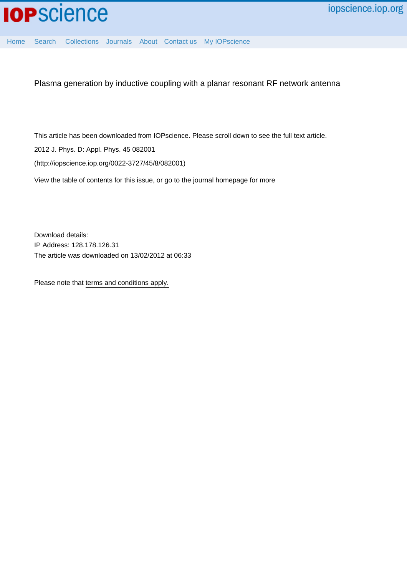

[Home](http://iopscience.iop.org/) [Search](http://iopscience.iop.org/search) [Collections](http://iopscience.iop.org/collections) [Journals](http://iopscience.iop.org/journals) [About](http://iopscience.iop.org/page/aboutioppublishing) [Contact us](http://iopscience.iop.org/contact) [My IOPscience](http://iopscience.iop.org/myiopscience)

Plasma generation by inductive coupling with a planar resonant RF network antenna

This article has been downloaded from IOPscience. Please scroll down to see the full text article.

2012 J. Phys. D: Appl. Phys. 45 082001

(http://iopscience.iop.org/0022-3727/45/8/082001)

View [the table of contents for this issue](http://iopscience.iop.org/0022-3727/45/8), or go to the [journal homepage](http://iopscience.iop.org/0022-3727) for more

Download details: IP Address: 128.178.126.31 The article was downloaded on 13/02/2012 at 06:33

Please note that [terms and conditions apply.](http://iopscience.iop.org/page/terms)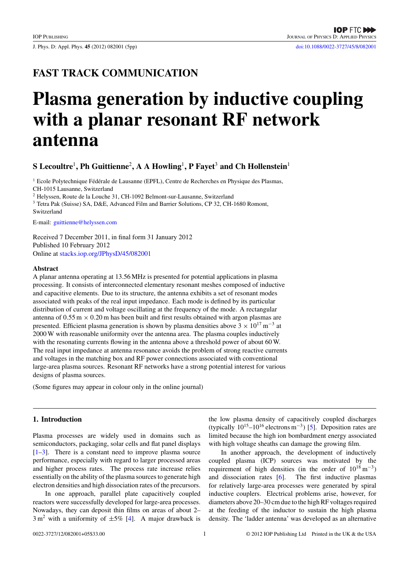J. Phys. D: Appl. Phys. **45** (2012) 082001 (5pp) [doi:10.1088/0022-3727/45/8/082001](http://dx.doi.org/10.1088/0022-3727/45/8/082001)

# **FAST TRACK COMMUNICATION**

# **Plasma generation by inductive coupling with a planar resonant RF network antenna**

## **S Lecoultre**<sup>1</sup>**, Ph Guittienne**<sup>2</sup>**, A A Howling**<sup>1</sup>**, P Fayet**<sup>3</sup> **and Ch Hollenstein**<sup>1</sup>

<sup>1</sup> Ecole Polytechnique Fédérale de Lausanne (EPFL), Centre de Recherches en Physique des Plasmas, CH-1015 Lausanne, Switzerland <sup>2</sup> Helyssen, Route de la Louche 31, CH-1092 Belmont-sur-Lausanne, Switzerland

<sup>3</sup> Tetra Pak (Suisse) SA, D&E, Advanced Film and Barrier Solutions, CP 32, CH-1680 Romont, Switzerland

E-mail: [guittienne@helyssen.com](mailto: guittienne@helyssen.com)

Received 7 December 2011, in final form 31 January 2012 Published 10 February 2012 Online at [stacks.iop.org/JPhysD/45/082001](http://stacks.iop.org/JPhysD/45/082001)

#### **Abstract**

A planar antenna operating at 13.56 MHz is presented for potential applications in plasma processing. It consists of interconnected elementary resonant meshes composed of inductive and capacitive elements. Due to its structure, the antenna exhibits a set of resonant modes associated with peaks of the real input impedance. Each mode is defined by its particular distribution of current and voltage oscillating at the frequency of the mode. A rectangular antenna of  $0.55 \text{ m} \times 0.20 \text{ m}$  has been built and first results obtained with argon plasmas are presented. Efficient plasma generation is shown by plasma densities above  $3 \times 10^{17}$  m<sup>-3</sup> at 2000 W with reasonable uniformity over the antenna area. The plasma couples inductively with the resonating currents flowing in the antenna above a threshold power of about 60 W. The real input impedance at antenna resonance avoids the problem of strong reactive currents and voltages in the matching box and RF power connections associated with conventional large-area plasma sources. Resonant RF networks have a strong potential interest for various designs of plasma sources.

(Some figures may appear in colour only in the online journal)

### **1. Introduction**

Plasma processes are widely used in domains such as semiconductors, packaging, solar cells and flat panel displays  $[1-3]$ . There is a constant need to improve plasma source performance, especially with regard to larger processed areas and higher process rates. The process rate increase relies essentially on the ability of the plasma sources to generate high electron densities and high dissociation rates of the precursors.

In one approach, parallel plate capacitively coupled reactors were successfully developed for large-area processes. Nowadays, they can deposit thin films on areas of about 2–  $3 \text{ m}^2$  with a uniformity of  $\pm 5\%$  [\[4\]](#page-5-0). A major drawback is the low plasma density of capacitively coupled discharges (typically  $10^{15}$ – $10^{16}$  electrons m<sup>-3</sup>) [\[5\]](#page-5-0). Deposition rates are limited because the high ion bombardment energy associated with high voltage sheaths can damage the growing film.

In another approach, the development of inductively coupled plasma (ICP) sources was motivated by the requirement of high densities (in the order of  $10^{18} \text{ m}^{-3}$ ) and dissociation rates [\[6\]](#page-5-0). The first inductive plasmas for relatively large-area processes were generated by spiral inductive couplers. Electrical problems arise, however, for diameters above 20–30 cm due to the high RF voltages required at the feeding of the inductor to sustain the high plasma density. The 'ladder antenna' was developed as an alternative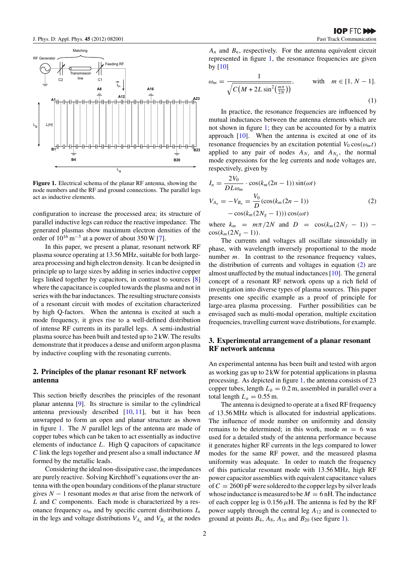<span id="page-2-0"></span>

**Figure 1.** Electrical schema of the planar RF antenna, showing the node numbers and the RF and ground connections. The parallel legs act as inductive elements.

configuration to increase the processed area; its structure of parallel inductive legs can reduce the reactive impedance. The generated plasmas show maximum electron densities of the order of  $10^{16}$  m<sup>-3</sup> at a power of about 350 W [\[7\]](#page-5-0).

In this paper, we present a planar, resonant network RF plasma source operating at 13.56 MHz, suitable for both largearea processing and high electron density. It can be designed in principle up to large sizes by adding in series inductive copper legs linked together by capacitors, in contrast to sources [\[8\]](#page-5-0) where the capacitance is coupled towards the plasma and not in series with the bar inductances. The resulting structure consists of a resonant circuit with modes of excitation characterized by high Q-factors. When the antenna is excited at such a mode frequency, it gives rise to a well-defined distribution of intense RF currents in its parallel legs. A semi-industrial plasma source has been built and tested up to 2 kW. The results demonstrate that it produces a dense and uniform argon plasma by inductive coupling with the resonating currents.

#### **2. Principles of the planar resonant RF network antenna**

This section briefly describes the principles of the resonant planar antenna [\[9\]](#page-5-0). Its structure is similar to the cylindrical antenna previously described [\[10,](#page-5-0) [11\]](#page-5-0), but it has been unwrapped to form an open and planar structure as shown in figure 1. The *N* parallel legs of the antenna are made of copper tubes which can be taken to act essentially as inductive elements of inductance *L*. High Q capacitors of capacitance *C* link the legs together and present also a small inductance *M* formed by the metallic leads.

Considering the ideal non-dissipative case, the impedances are purely reactive. Solving Kirchhoff's equations over the antenna with the open boundary conditions of the planar structure gives *N* − 1 resonant modes *m* that arise from the network of *L* and *C* components. Each mode is characterized by a resonance frequency  $\omega_m$  and by specific current distributions  $I_n$ in the legs and voltage distributions  $V_{A_n}$  and  $V_{B_n}$  at the nodes

 $A_n$  and  $B_n$ , respectively. For the antenna equivalent circuit represented in figure 1, the resonance frequencies are given by [\[10\]](#page-5-0)

$$
\omega_m = \frac{1}{\sqrt{C(M + 2L\sin^2(\frac{m\pi}{2N}))}}, \quad \text{with} \quad m \in [1, N - 1].
$$
\n(1)

In practice, the resonance frequencies are influenced by mutual inductances between the antenna elements which are not shown in figure 1; they can be accounted for by a matrix approach  $[10]$ . When the antenna is excited at one of its resonance frequencies by an excitation potential  $V_0 \cos(\omega_m t)$ applied to any pair of nodes  $A_{N_f}$  and  $A_{N_g}$ , the normal mode expressions for the leg currents and node voltages are, respectively, given by

$$
I_n = \frac{2V_0}{DL\omega_m} \cdot \cos(k_m(2n-1))\sin(\omega t)
$$
  
\n
$$
V_{A_n} = -V_{B_n} = \frac{V_0}{D}(\cos(k_m(2n-1)) - \cos(k_m(2N_g-1)))\cos(\omega t)
$$
\n(2)

where  $k_m = m\pi/2N$  and  $D = \cos(k_m(2N_f - 1))$  –  $\cos(k_m(2N_g - 1)).$ 

The currents and voltages all oscillate sinusoidally in phase, with wavelength inversely proportional to the mode number *m*. In contrast to the resonance frequency values, the distribution of currents and voltages in equation (2) are almost unaffected by the mutual inductances [\[10\]](#page-5-0). The general concept of a resonant RF network opens up a rich field of investigation into diverse types of plasma sources. This paper presents one specific example as a proof of principle for large-area plasma processing. Further possibilities can be envisaged such as multi-modal operation, multiple excitation frequencies, travelling current wave distributions, for example.

#### **3. Experimental arrangement of a planar resonant RF network antenna**

An experimental antenna has been built and tested with argon as working gas up to 2 kW for potential applications in plasma processing. As depicted in figure 1, the antenna consists of 23 copper tubes, length  $L_b = 0.2$  m, assembled in parallel over a total length  $L_a = 0.55$  m.

The antenna is designed to operate at a fixed RF frequency of 13.56 MHz which is allocated for industrial applications. The influence of mode number on uniformity and density remains to be determined; in this work, mode  $m = 6$  was used for a detailed study of the antenna performance because it generates higher RF currents in the legs compared to lower modes for the same RF power, and the measured plasma uniformity was adequate. In order to match the frequency of this particular resonant mode with 13.56 MHz, high RF power capacitor assemblies with equivalent capacitance values of  $C = 2600$  pF were soldered to the copper legs by silver leads whose inductance is measured to be  $M = 6$  nH. The inductance of each copper leg is  $0.156 \mu$ H. The antenna is fed by the RF power supply through the central leg *A*<sup>12</sup> and is connected to ground at points  $B_4$ ,  $A_8$ ,  $A_{16}$  and  $B_{20}$  (see figure 1).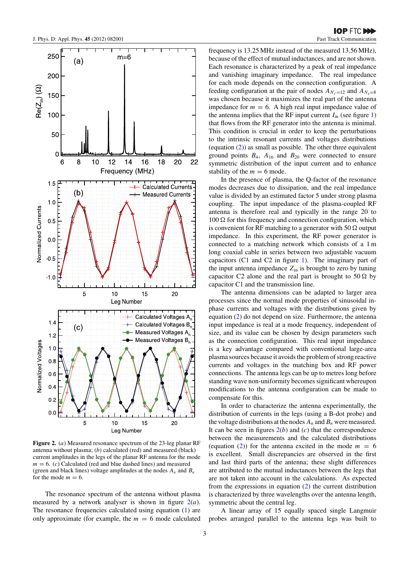$(a)$ 

 $m=6$ 

 $14$ 

250

200

150

100

50

 $\overline{0}$ 

 $1.5F$ 

 $1.0$ 

 $0.5$ 

 $0.0$ 

 $-0.5$ 

 $-1.0$ 

 $1.4$ 

 $1.2$ 

 $1.0$  $0.8$  $0.6$  $0.4$  $0.2$  $0.0$ 

**Vormalized Voltages** 

**Normalized Currents** 

6

8

 $(b)$ 

5

 $(c)$ 

5

 $10$ 

 $12$ 

 $10$ 

Leg Number

15

15

20

20

Calculated Voltages A

Calculated Voltages B,

Measured Voltages A<sub>n</sub>

Measured Voltages B.

 $\mathsf{Re}(Z_{\text{in}})$  ( $\Omega$ 

<span id="page-3-0"></span>

In the presence of plasma, the Q-factor of the resonance modes decreases due to dissipation, and the real impedance value is divided by an estimated factor 5 under strong plasma coupling. The input impedance of the plasma-coupled RF antenna is therefore real and typically in the range 20 to  $100 \Omega$  for this frequency and connection configuration, which is convenient for RF matching to a generator with 50  $\Omega$  output impedance. In this experiment, the RF power generator is connected to a matching network which consists of a 1 m long coaxial cable in series between two adjustable vacuum capacitors (C1 and C2 in figure [1\)](#page-2-0). The imaginary part of the input antenna impedance  $Z_{\text{in}}$  is brought to zero by tuning capacitor C2 alone and the real part is brought to  $50 \Omega$  by capacitor C1 and the transmission line.

The antenna dimensions can be adapted to larger area processes since the normal mode properties of sinusoidal inphase currents and voltages with the distributions given by equation [\(2\)](#page-2-0) do not depend on size. Furthermore, the antenna input impedance is real at a mode frequency, independent of size, and its value can be chosen by design parameters such as the connection configuration. This real input impedance is a key advantage compared with conventional large-area plasma sources because it avoids the problem of strong reactive currents and voltages in the matching box and RF power connections. The antenna legs can be up to metres long before standing wave non-uniformity becomes significant whereupon modifications to the antenna configuration can be made to compensate for this.

In order to characterize the antenna experimentally, the distribution of currents in the legs (using a B-dot probe) and the voltage distributions at the nodes  $A_n$  and  $B_n$  were measured. It can be seen in figures  $2(b)$  and  $(c)$  that the correspondence between the measurements and the calculated distributions (equation  $(2)$ ) for the antenna excited in the mode  $m = 6$ is excellent. Small discrepancies are observed in the first and last third parts of the antenna; these slight differences are attributed to the mutual inductances between the legs that are not taken into account in the calculations. As expected from the expressions in equation [\(2\)](#page-2-0) the current distribution is characterized by three wavelengths over the antenna length, symmetric about the central leg.

A linear array of 15 equally spaced single Langmuir probes arranged parallel to the antenna legs was built to

**Figure 2.** (*a*) Measured resonance spectrum of the 23-leg planar RF antenna without plasma; (*b*) calculated (red) and measured (black) current amplitudes in the legs of the planar RF antenna for the mode  $m = 6$ . (*c*) Calculated (red and blue dashed lines) and measured (green and black lines) voltage amplitudes at the nodes  $A_n$  and  $B_n$ for the mode  $m = 6$ .

 $10$ 

Leg Number

The resonance spectrum of the antenna without plasma measured by a network analyser is shown in figure 2(*a*). The resonance frequencies calculated using equation [\(1\)](#page-2-0) are only approximate (for example, the  $m = 6$  mode calculated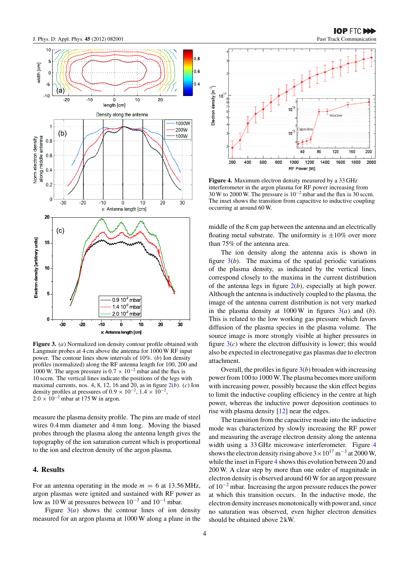

**Figure 3.** (*a*) Normalized ion density contour profile obtained with Langmuir probes at 4 cm above the antenna for 1000 W RF input power. The contour lines show intervals of 10%. (*b*) Ion density profiles (normalized) along the RF antenna length for 100, 200 and 1000 W. The argon pressure is  $0.7 \times 10^{-2}$  mbar and the flux is 10 sccm. The vertical lines indicate the positions of the legs with maximal currents, nos. 4, 8, 12, 16 and 20, as in figure [2\(](#page-3-0)*b*). (*c*) Ion density profiles at pressures of  $0.9 \times 10^{-2}$ ,  $1.4 \times 10^{-2}$  $2.0 \times 10^{-2}$  mbar at 175 W in argon.

measure the plasma density profile. The pins are made of steel wires 0.4 mm diameter and 4 mm long. Moving the biased probes through the plasma along the antenna length gives the topography of the ion saturation current which is proportional to the ion and electron density of the argon plasma.

#### **4. Results**

For an antenna operating in the mode  $m = 6$  at 13.56 MHz, argon plasmas were ignited and sustained with RF power as low as 10 W at pressures between  $10^{-3}$  and  $10^{-1}$  mbar.

Figure  $3(a)$  shows the contour lines of ion density measured for an argon plasma at 1000 W along a plane in the



**Figure 4.** Maximum electron density measured by a 33 GHz interferometer in the argon plasma for RF power increasing from 30 W to 2000 W. The pressure is 10−<sup>2</sup> mbar and the flux is 30 sccm. The inset shows the transition from capacitive to inductive coupling occurring at around 60 W.

middle of the 8 cm gap between the antenna and an electrically floating metal substrate. The uniformity is  $\pm 10\%$  over more than 75% of the antenna area.

The ion density along the antenna axis is shown in figure  $3(b)$ . The maxima of the spatial periodic variations of the plasma density, as indicated by the vertical lines, correspond closely to the maxima in the current distribution of the antenna legs in figure [2\(](#page-2-0)*b*), especially at high power. Although the antenna is inductively coupled to the plasma, the image of the antenna current distribution is not very marked in the plasma density at  $1000 \text{ W}$  in figures  $3(a)$  and (*b*). This is related to the low working gas pressure which favors diffusion of the plasma species in the plasma volume. The source image is more strongly visible at higher pressures in figure  $3(c)$  where the electron diffusivity is lower; this would also be expected in electronegative gas plasmas due to electron attachment.

Overall, the profiles in figure 3(*b*) broaden with increasing power from 100 to 1000 W. The plasma becomes more uniform with increasing power, possibly because the skin effect begins to limit the inductive coupling efficiency in the centre at high power, whereas the inductive power deposition continues to rise with plasma density [\[12\]](#page-5-0) near the edges.

The transition from the capacitive mode into the inductive mode was characterized by slowly increasing the RF power and measuring the average electron density along the antenna width using a 33 GHz microwave interferometer. Figure 4 shows the electron density rising above  $3 \times 10^{17}$  m<sup>-3</sup> at 2000 W, while the inset in Figure 4 shows this evolution between 20 and 200 W. A clear step by more than one order of magnitude in electron density is observed around 60 W for an argon pressure of 10−<sup>2</sup> mbar. Increasing the argon pressure reduces the power at which this transition occurs. In the inductive mode, the electron density increases monotonically with power and, since no saturation was observed, even higher electron densities should be obtained above 2 kW.